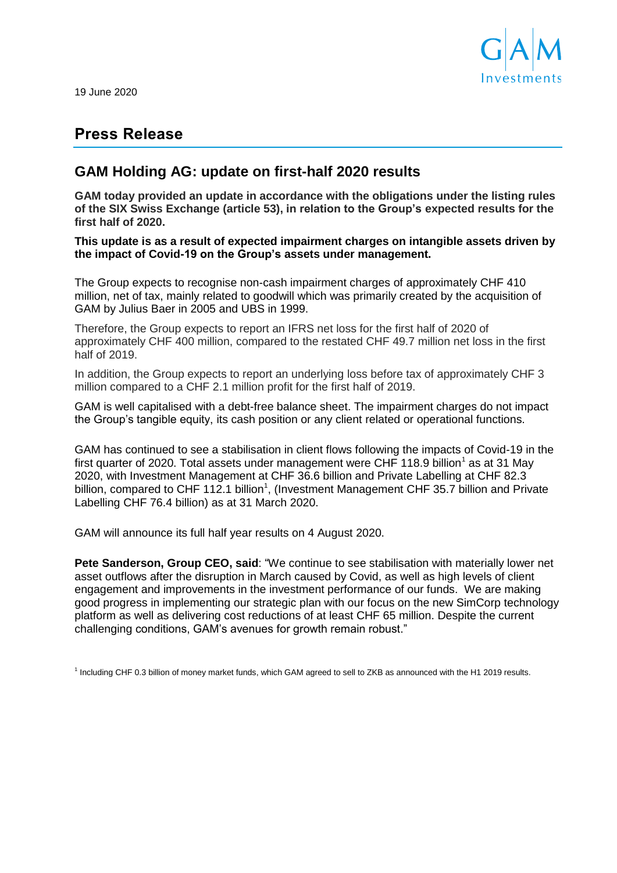

19 June 2020

# **Press Release**

## **GAM Holding AG: update on first-half 2020 results**

**GAM today provided an update in accordance with the obligations under the listing rules of the SIX Swiss Exchange (article 53), in relation to the Group's expected results for the first half of 2020.**

**This update is as a result of expected impairment charges on intangible assets driven by the impact of Covid-19 on the Group's assets under management.** 

The Group expects to recognise non-cash impairment charges of approximately CHF 410 million, net of tax, mainly related to goodwill which was primarily created by the acquisition of GAM by Julius Baer in 2005 and UBS in 1999.

Therefore, the Group expects to report an IFRS net loss for the first half of 2020 of approximately CHF 400 million, compared to the restated CHF 49.7 million net loss in the first half of 2019.

In addition, the Group expects to report an underlying loss before tax of approximately CHF 3 million compared to a CHF 2.1 million profit for the first half of 2019.

GAM is well capitalised with a debt-free balance sheet. The impairment charges do not impact the Group's tangible equity, its cash position or any client related or operational functions.

GAM has continued to see a stabilisation in client flows following the impacts of Covid-19 in the first quarter of 2020. Total assets under management were CHF 118.9 billion<sup>1</sup> as at 31 May 2020, with Investment Management at CHF 36.6 billion and Private Labelling at CHF 82.3 billion, compared to CHF 112.1 billion<sup>1</sup>, (Investment Management CHF 35.7 billion and Private Labelling CHF 76.4 billion) as at 31 March 2020.

GAM will announce its full half year results on 4 August 2020.

**Pete Sanderson, Group CEO, said**: "We continue to see stabilisation with materially lower net asset outflows after the disruption in March caused by Covid, as well as high levels of client engagement and improvements in the investment performance of our funds. We are making good progress in implementing our strategic plan with our focus on the new SimCorp technology platform as well as delivering cost reductions of at least CHF 65 million. Despite the current challenging conditions, GAM's avenues for growth remain robust."

<sup>1</sup> Including CHF 0.3 billion of money market funds, which GAM agreed to sell to ZKB as announced with the H1 2019 results.